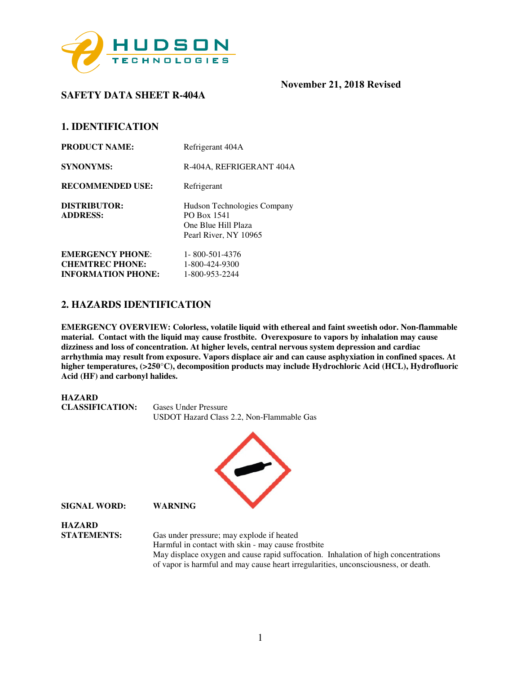

**1. IDENTIFICATION**

**SAFETY DATA SHEET R-404A** 

| <b>PRODUCT NAME:</b>                              | Refrigerant 404A                                                                           |
|---------------------------------------------------|--------------------------------------------------------------------------------------------|
| <b>SYNONYMS:</b>                                  | R-404A, REFRIGERANT 404A                                                                   |
| <b>RECOMMENDED USE:</b>                           | Refrigerant                                                                                |
| <b>DISTRIBUTOR:</b><br><b>ADDRESS:</b>            | Hudson Technologies Company<br>PO Box 1541<br>One Blue Hill Plaza<br>Pearl River, NY 10965 |
| <b>EMERGENCY PHONE:</b><br><b>CHEMTREC PHONE:</b> | 1-800-501-4376<br>1-800-424-9300                                                           |
| <b>INFORMATION PHONE:</b>                         | 1-800-953-2244                                                                             |

## **2. HAZARDS IDENTIFICATION**

**EMERGENCY OVERVIEW: Colorless, volatile liquid with ethereal and faint sweetish odor. Non-flammable material. Contact with the liquid may cause frostbite. Overexposure to vapors by inhalation may cause dizziness and loss of concentration. At higher levels, central nervous system depression and cardiac arrhythmia may result from exposure. Vapors displace air and can cause asphyxiation in confined spaces. At higher temperatures, (>250**°**C), decomposition products may include Hydrochloric Acid (HCL), Hydrofluoric Acid (HF) and carbonyl halides.** 

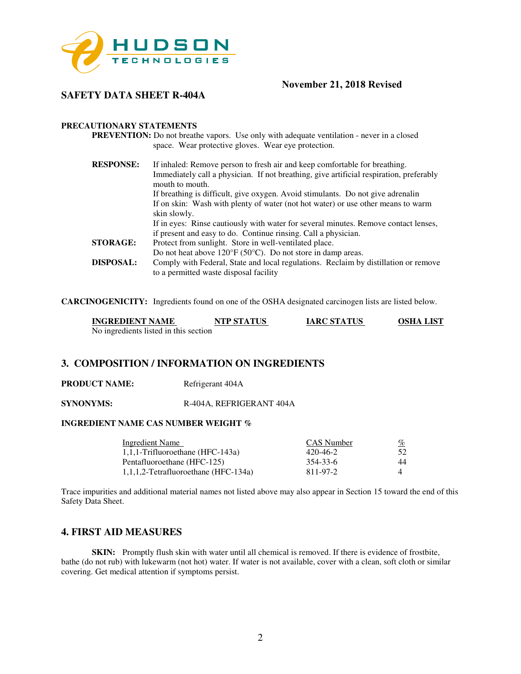

# **SAFETY DATA SHEET R-404A**

#### **PRECAUTIONARY STATEMENTS**

**PREVENTION:** Do not breathe vapors. Use only with adequate ventilation - never in a closed space. Wear protective gloves. Wear eye protection.

| <b>RESPONSE:</b><br>If inhaled: Remove person to fresh air and keep comfortable for breathing. |  |
|------------------------------------------------------------------------------------------------|--|
| Immediately call a physician. If not breathing, give artificial respiration, preferably        |  |
| mouth to mouth.                                                                                |  |
| If breathing is difficult, give oxygen. Avoid stimulants. Do not give adrenalin                |  |
| If on skin: Wash with plenty of water (not hot water) or use other means to warm               |  |
| skin slowly.                                                                                   |  |
| If in eyes: Rinse cautiously with water for several minutes. Remove contact lenses,            |  |
| if present and easy to do. Continue rinsing. Call a physician.                                 |  |
| Protect from sunlight. Store in well-ventilated place.                                         |  |
| Do not heat above $120^{\circ}F(50^{\circ}C)$ . Do not store in damp areas.                    |  |
| Comply with Federal, State and local regulations. Reclaim by distillation or remove            |  |
| to a permitted waste disposal facility                                                         |  |
|                                                                                                |  |

**CARCINOGENICITY:** Ingredients found on one of the OSHA designated carcinogen lists are listed below.

| <b>INGREDIENT NAME</b>                | <b>NTP STATUS</b> | <b>IARC STATUS</b> | <b>OSHA LIST</b> |
|---------------------------------------|-------------------|--------------------|------------------|
| No ingredients listed in this section |                   |                    |                  |

## **3. COMPOSITION / INFORMATION ON INGREDIENTS**

**PRODUCT NAME:** Refrigerant 404A

**SYNONYMS:** R-404A, REFRIGERANT 404A

## **INGREDIENT NAME CAS NUMBER WEIGHT %**

| Ingredient Name                         | CAS Number | <u>%</u> |
|-----------------------------------------|------------|----------|
| $1,1,1$ -Trifluoroethane (HFC-143a)     | 420-46-2   | 52.      |
| Pentafluoroethane (HFC-125)             | 354-33-6   | 44       |
| $1,1,1,2$ -Tetrafluoroethane (HFC-134a) | 811-97-2   |          |

Trace impurities and additional material names not listed above may also appear in Section 15 toward the end of this Safety Data Sheet.

## **4. FIRST AID MEASURES**

**SKIN:** Promptly flush skin with water until all chemical is removed. If there is evidence of frostbite, bathe (do not rub) with lukewarm (not hot) water. If water is not available, cover with a clean, soft cloth or similar covering. Get medical attention if symptoms persist.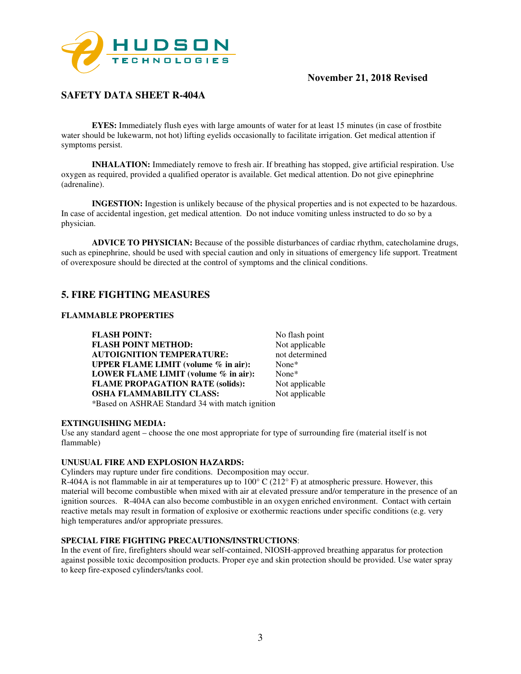

# **SAFETY DATA SHEET R-404A**

**EYES:** Immediately flush eyes with large amounts of water for at least 15 minutes (in case of frostbite water should be lukewarm, not hot) lifting eyelids occasionally to facilitate irrigation. Get medical attention if symptoms persist.

**INHALATION:** Immediately remove to fresh air. If breathing has stopped, give artificial respiration. Use oxygen as required, provided a qualified operator is available. Get medical attention. Do not give epinephrine (adrenaline).

**INGESTION:** Ingestion is unlikely because of the physical properties and is not expected to be hazardous. In case of accidental ingestion, get medical attention. Do not induce vomiting unless instructed to do so by a physician.

**ADVICE TO PHYSICIAN:** Because of the possible disturbances of cardiac rhythm, catecholamine drugs, such as epinephrine, should be used with special caution and only in situations of emergency life support. Treatment of overexposure should be directed at the control of symptoms and the clinical conditions.

## **5. FIRE FIGHTING MEASURES**

#### **FLAMMABLE PROPERTIES**

**FLASH POINT:** No flash point<br> **FLASH POINT METHOD:** Not applicable **FLASH POINT METHOD: AUTOIGNITION TEMPERATURE:** not determined<br> **UPPER FLAME LIMIT (volume % in air):** None\* **UPPER FLAME LIMIT (volume % in air): LOWER FLAME LIMIT (volume % in air):** None\* **FLAME PROPAGATION RATE (solids):** Not applicable **OSHA FLAMMABILITY CLASS:** Not applicable \*Based on ASHRAE Standard 34 with match ignition

#### **EXTINGUISHING MEDIA:**

Use any standard agent – choose the one most appropriate for type of surrounding fire (material itself is not flammable)

#### **UNUSUAL FIRE AND EXPLOSION HAZARDS:**

Cylinders may rupture under fire conditions. Decomposition may occur.

R-404A is not flammable in air at temperatures up to  $100^{\circ}$  C ( $212^{\circ}$  F) at atmospheric pressure. However, this material will become combustible when mixed with air at elevated pressure and/or temperature in the presence of an ignition sources. R-404A can also become combustible in an oxygen enriched environment. Contact with certain reactive metals may result in formation of explosive or exothermic reactions under specific conditions (e.g. very high temperatures and/or appropriate pressures.

#### **SPECIAL FIRE FIGHTING PRECAUTIONS/INSTRUCTIONS**:

In the event of fire, firefighters should wear self-contained, NIOSH-approved breathing apparatus for protection against possible toxic decomposition products. Proper eye and skin protection should be provided. Use water spray to keep fire-exposed cylinders/tanks cool.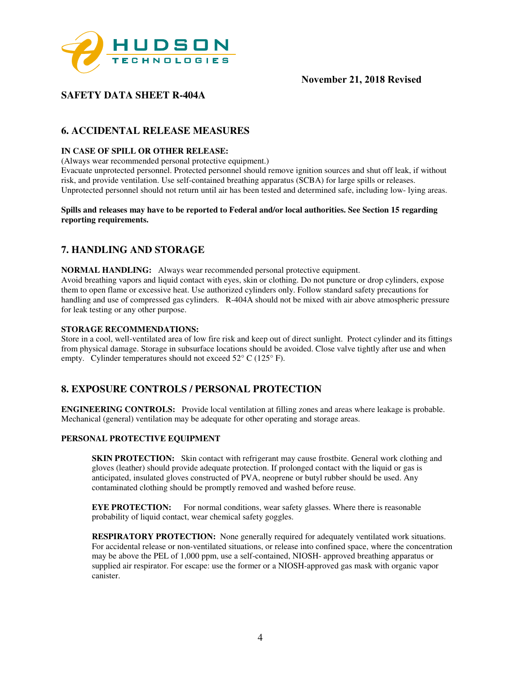

# **SAFETY DATA SHEET R-404A**

# **6. ACCIDENTAL RELEASE MEASURES**

### **IN CASE OF SPILL OR OTHER RELEASE:**

(Always wear recommended personal protective equipment.)

Evacuate unprotected personnel. Protected personnel should remove ignition sources and shut off leak, if without risk, and provide ventilation. Use self-contained breathing apparatus (SCBA) for large spills or releases. Unprotected personnel should not return until air has been tested and determined safe, including low- lying areas.

#### **Spills and releases may have to be reported to Federal and/or local authorities. See Section 15 regarding reporting requirements.**

# **7. HANDLING AND STORAGE**

**NORMAL HANDLING:** Always wear recommended personal protective equipment. Avoid breathing vapors and liquid contact with eyes, skin or clothing. Do not puncture or drop cylinders, expose them to open flame or excessive heat. Use authorized cylinders only. Follow standard safety precautions for handling and use of compressed gas cylinders. R-404A should not be mixed with air above atmospheric pressure for leak testing or any other purpose.

#### **STORAGE RECOMMENDATIONS:**

Store in a cool, well-ventilated area of low fire risk and keep out of direct sunlight. Protect cylinder and its fittings from physical damage. Storage in subsurface locations should be avoided. Close valve tightly after use and when empty. Cylinder temperatures should not exceed 52° C (125° F).

## **8. EXPOSURE CONTROLS / PERSONAL PROTECTION**

**ENGINEERING CONTROLS:** Provide local ventilation at filling zones and areas where leakage is probable. Mechanical (general) ventilation may be adequate for other operating and storage areas.

#### **PERSONAL PROTECTIVE EQUIPMENT**

**SKIN PROTECTION:** Skin contact with refrigerant may cause frostbite. General work clothing and gloves (leather) should provide adequate protection. If prolonged contact with the liquid or gas is anticipated, insulated gloves constructed of PVA, neoprene or butyl rubber should be used. Any contaminated clothing should be promptly removed and washed before reuse.

**EYE PROTECTION:** For normal conditions, wear safety glasses. Where there is reasonable probability of liquid contact, wear chemical safety goggles.

**RESPIRATORY PROTECTION:** None generally required for adequately ventilated work situations. For accidental release or non-ventilated situations, or release into confined space, where the concentration may be above the PEL of 1,000 ppm, use a self-contained, NIOSH- approved breathing apparatus or supplied air respirator. For escape: use the former or a NIOSH-approved gas mask with organic vapor canister.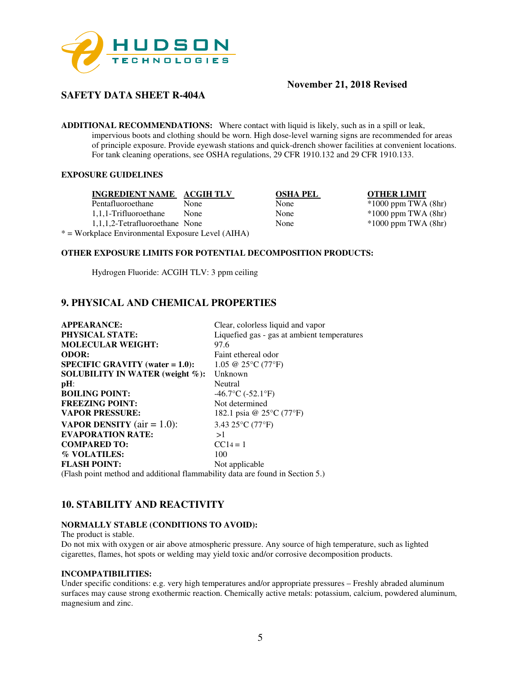

# **SAFETY DATA SHEET R-404A**

**ADDITIONAL RECOMMENDATIONS:** Where contact with liquid is likely, such as in a spill or leak, impervious boots and clothing should be worn. High dose-level warning signs are recommended for areas of principle exposure. Provide eyewash stations and quick-drench shower facilities at convenient locations. For tank cleaning operations, see OSHA regulations, 29 CFR 1910.132 and 29 CFR 1910.133.

## **EXPOSURE GUIDELINES**

| INGREDIENT NAME ACGIH TLV                         |      | <b>OSHA PEL</b> | <b>OTHER LIMIT</b>      |
|---------------------------------------------------|------|-----------------|-------------------------|
| Pentafluoroethane                                 | None | None            | $*1000$ ppm TWA $(8hr)$ |
| 1,1,1-Trifluoroethane                             | None | None            | $*1000$ ppm TWA $(8hr)$ |
| 1,1,1,2-Tetrafluoroethane None                    |      | None            | $*1000$ ppm TWA $(8hr)$ |
| * = Workplace Environmental Exposure Level (AIHA) |      |                 |                         |

## **OTHER EXPOSURE LIMITS FOR POTENTIAL DECOMPOSITION PRODUCTS:**

Hydrogen Fluoride: ACGIH TLV: 3 ppm ceiling

## **9. PHYSICAL AND CHEMICAL PROPERTIES**

| <b>APPEARANCE:</b>                    | Clear, colorless liquid and vapor                  |
|---------------------------------------|----------------------------------------------------|
| <b>PHYSICAL STATE:</b>                | Liquefied gas - gas at ambient temperatures        |
| <b>MOLECULAR WEIGHT:</b>              | 97.6                                               |
| <b>ODOR:</b>                          | Faint ethereal odor                                |
| $SPECIFIC GRAVITY (water = 1.0):$     | 1.05 @ 25 $\rm{^{\circ}C}$ (77 $\rm{^{\circ}F}$ )  |
| SOLUBILITY IN WATER (weight $\%$ ):   | Unknown                                            |
| $pH$ :                                | Neutral                                            |
| <b>BOILING POINT:</b>                 | $-46.7$ °C ( $-52.1$ °F)                           |
| <b>FREEZING POINT:</b>                | Not determined                                     |
| <b>VAPOR PRESSURE:</b>                | 182.1 psia @ 25 <sup>o</sup> C (77 <sup>o</sup> F) |
| <b>VAPOR DENSITY</b> ( $air = 1.0$ ): | 3.43 25 $\rm ^{\circ}C$ (77 $\rm ^{\circ}F$ )      |
| <b>EVAPORATION RATE:</b>              | >1                                                 |
| <b>COMPARED TO:</b>                   | $CC14 = 1$                                         |
| % VOLATILES:                          | 100                                                |
| <b>FLASH POINT:</b>                   | Not applicable                                     |
|                                       |                                                    |

(Flash point method and additional flammability data are found in Section 5.)

## **10. STABILITY AND REACTIVITY**

### **NORMALLY STABLE (CONDITIONS TO AVOID):**

The product is stable.

Do not mix with oxygen or air above atmospheric pressure. Any source of high temperature, such as lighted cigarettes, flames, hot spots or welding may yield toxic and/or corrosive decomposition products.

#### **INCOMPATIBILITIES:**

Under specific conditions: e.g. very high temperatures and/or appropriate pressures – Freshly abraded aluminum surfaces may cause strong exothermic reaction. Chemically active metals: potassium, calcium, powdered aluminum, magnesium and zinc.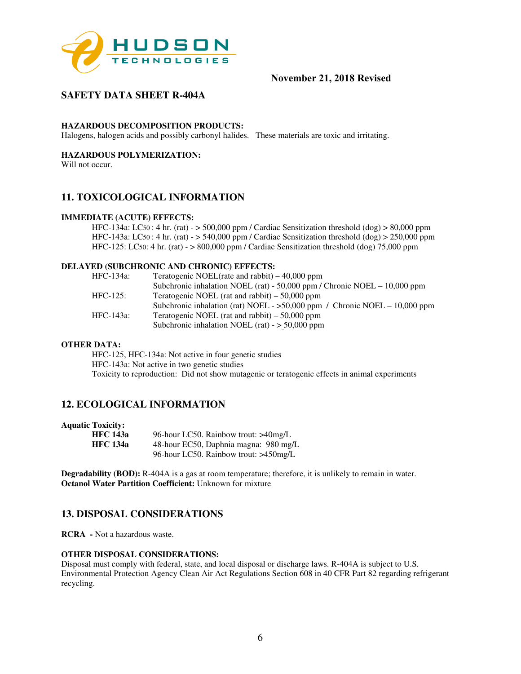

# **SAFETY DATA SHEET R-404A**

#### **HAZARDOUS DECOMPOSITION PRODUCTS:**

Halogens, halogen acids and possibly carbonyl halides. These materials are toxic and irritating.

## **HAZARDOUS POLYMERIZATION:**

Will not occur.

## **11. TOXICOLOGICAL INFORMATION**

#### **IMMEDIATE (ACUTE) EFFECTS:**

HFC-134a: LC50 : 4 hr. (rat) -  $>$  500,000 ppm / Cardiac Sensitization threshold (dog)  $>$  80,000 ppm HFC-143a: LC50 : 4 hr. (rat) - > 540,000 ppm / Cardiac Sensitization threshold (dog) > 250,000 ppm HFC-125: LC50: 4 hr. (rat) - > 800,000 ppm / Cardiac Sensitization threshold (dog) 75,000 ppm

#### **DELAYED (SUBCHRONIC AND CHRONIC) EFFECTS:**

| HFC-134a:   | Teratogenic NOEL(rate and rabbit) $-40,000$ ppm                              |
|-------------|------------------------------------------------------------------------------|
|             | Subchronic inhalation NOEL (rat) - 50,000 ppm / Chronic NOEL $- 10,000$ ppm  |
| $HFC-125$ : | Teratogenic NOEL (rat and rabbit) $-50,000$ ppm                              |
|             | Subchronic inhalation (rat) NOEL - $>50,000$ ppm / Chronic NOEL - 10,000 ppm |
| HFC-143a:   | Teratogenic NOEL (rat and rabbit) $-50,000$ ppm                              |
|             | Subchronic inhalation NOEL (rat) - $> 50,000$ ppm                            |

## **OTHER DATA:**

HFC-125, HFC-134a: Not active in four genetic studies HFC-143a: Not active in two genetic studies Toxicity to reproduction: Did not show mutagenic or teratogenic effects in animal experiments

## **12. ECOLOGICAL INFORMATION**

|  | <b>Aquatic Toxicity:</b> |
|--|--------------------------|
|--|--------------------------|

| <b>HFC</b> 143a | 96-hour LC50. Rainbow trout: >40mg/L  |
|-----------------|---------------------------------------|
| <b>HFC</b> 134a | 48-hour EC50, Daphnia magna: 980 mg/L |
|                 | 96-hour LC50. Rainbow trout: >450mg/L |

**Degradability (BOD):** R-404A is a gas at room temperature; therefore, it is unlikely to remain in water. **Octanol Water Partition Coefficient:** Unknown for mixture

## **13. DISPOSAL CONSIDERATIONS**

**RCRA -** Not a hazardous waste.

#### **OTHER DISPOSAL CONSIDERATIONS:**

Disposal must comply with federal, state, and local disposal or discharge laws. R-404A is subject to U.S. Environmental Protection Agency Clean Air Act Regulations Section 608 in 40 CFR Part 82 regarding refrigerant recycling.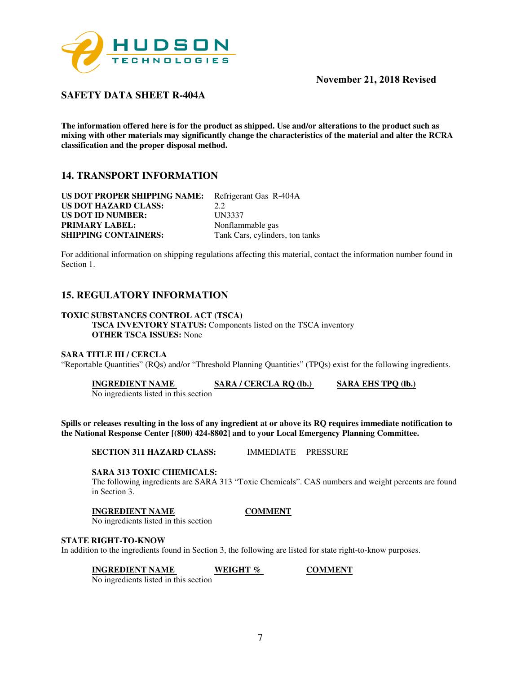

**SAFETY DATA SHEET R-404A** 

**The information offered here is for the product as shipped. Use and/or alterations to the product such as mixing with other materials may significantly change the characteristics of the material and alter the RCRA classification and the proper disposal method.** 

## **14. TRANSPORT INFORMATION**

**US DOT PROPER SHIPPING NAME:** Refrigerant Gas R-404A **US DOT HAZARD CLASS:** 2.2 **US DOT ID NUMBER:** UN3337<br> **PRIMARY LABEL:** Nonflammable gas **PRIMARY LABEL: SHIPPING CONTAINERS:** Tank Cars, cylinders, ton tanks

For additional information on shipping regulations affecting this material, contact the information number found in Section 1.

# **15. REGULATORY INFORMATION**

#### **TOXIC SUBSTANCES CONTROL ACT (TSCA)**

**TSCA INVENTORY STATUS:** Components listed on the TSCA inventory **OTHER TSCA ISSUES:** None

#### **SARA TITLE III / CERCLA**

"Reportable Quantities" (RQs) and/or "Threshold Planning Quantities" (TPQs) exist for the following ingredients.

**INGREDIENT NAME SARA / CERCLA RQ (lb.) SARA EHS TPQ (lb.)** 

No ingredients listed in this section

**Spills or releases resulting in the loss of any ingredient at or above its RQ requires immediate notification to the National Response Center [(800) 424-8802] and to your Local Emergency Planning Committee.** 

**SECTION 311 HAZARD CLASS:** IMMEDIATE PRESSURE

#### **SARA 313 TOXIC CHEMICALS:**

The following ingredients are SARA 313 "Toxic Chemicals". CAS numbers and weight percents are found in Section 3.

#### **INGREDIENT NAME COMMENT**

No ingredients listed in this section

#### **STATE RIGHT-TO-KNOW**

In addition to the ingredients found in Section 3, the following are listed for state right-to-know purposes.

**INGREDIENT NAME WEIGHT % COMMENT** 

No ingredients listed in this section